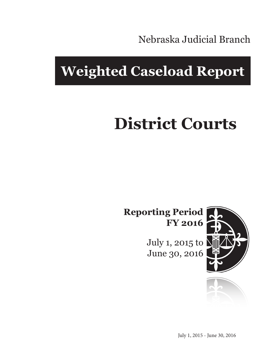Nebraska Judicial Branch

# **Weighted Caseload Report**

# **District Courts**

**Reporting Period FY 2016**

> July 1, 2015 to June 30, 2016



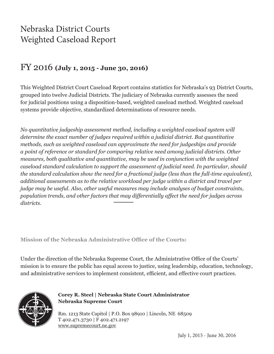## Nebraska District Courts Weighted Caseload Report

#### FY 2016 **(July 1, 2015 - June 30, 2016)**

This Weighted District Court Caseload Report contains statistics for Nebraska's 93 District Courts, grouped into twelve Judicial Districts. The judiciary of Nebraska currently assesses the need for judicial positions using a disposition-based, weighted caseload method. Weighted caseload systems provide objective, standardized determinations of resource needs.

*No quantitative judgeship assessment method, including a weighted caseload system will determine the exact number of judges required within a judicial district. But quantitative methods, such as weighted caseload can approximate the need for judgeships and provide a point of reference or standard for comparing relative need among judicial districts. Other measures, both qualitative and quantitative, may be used in conjunction with the weighted caseload standard calculation to support the assessment of judicial need. In particular, should the standard calculation show the need for a fractional judge (less than the full-time equivalent), additional assessments as to the relative workload per judge within a district and travel per judge may be useful. Also, other useful measures may include analyses of budget constraints, population trends, and other factors that may differentially affect the need for judges across districts.*

**Mission of the Nebraska Administrative Office of the Courts:**

Under the direction of the Nebraska Supreme Court, the Administrative Office of the Courts' mission is to ensure the public has equal access to justice, using leadership, education, technology, and administrative services to implement consistent, efficient, and effective court practices.



**Corey R. Steel | Nebraska State Court Administrator Nebraska Supreme Court**

Rm. 1213 State Capitol | P.O. Box 98910 | Lincoln, NE 68509 T 402.471.3730 | F 402.471.2197 www.supremecourt.ne.gov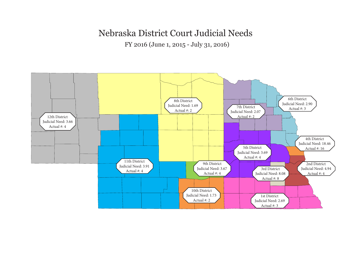## Nebraska District Court Judicial Needs

FY 2016 (June 1, 2015 - July 31, 2016)

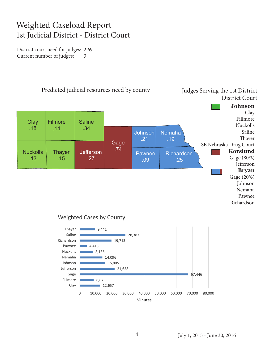## Weighted Caseload Report 1st Judicial District - District Court

District court need for judges: 2.69 Current number of judges: 3





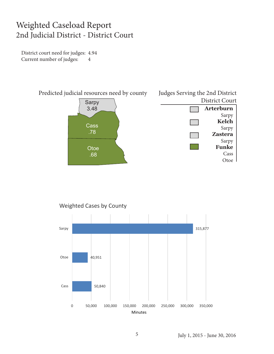#### Weighted Caseload Report 2nd Judicial District - District Court

District court need for judges: 4.94 Current number of judges: 4





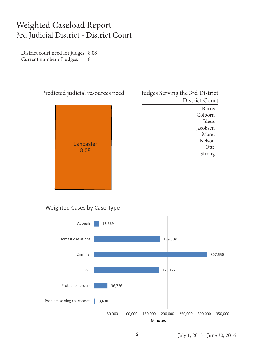#### Weighted Caseload Report 3rd Judicial District - District Court

District court need for judges: 8.08 Current number of judges: 8



| Judges Serving the 3rd District |                |
|---------------------------------|----------------|
|                                 | District Court |
|                                 | <b>Burns</b>   |
|                                 | Colborn        |
|                                 | Ideus          |
|                                 | Jacobsen       |
|                                 | Maret          |
|                                 | Nelson         |
|                                 | Otte           |
|                                 | Strong         |
|                                 |                |

#### Weighted Cases by Case Type

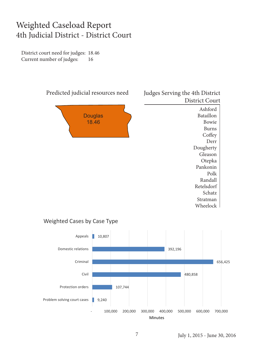#### Weighted Caseload Report 4th Judicial District - District Court

District court need for judges: 18.46 Current number of judges: 16



#### Weighted Cases by Case Type

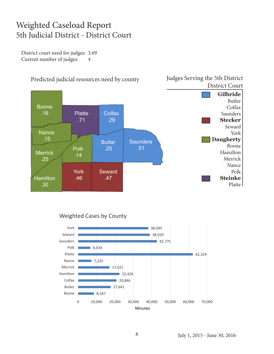### Weighted Caseload Report 5th Judicial District - District Court

District court need for judges: 3.69 Current number of judges: 4



#### Weighted Cases by County

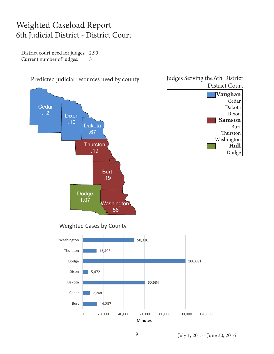#### Weighted Caseload Report 6th Judicial District - District Court

District court need for judges: 2.90 Current number of judges: 3

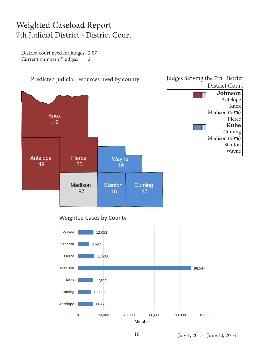### Weighted Caseload Report 7th Judicial District - District Court

District court need for judges: 2.07 Current number of judges: 2

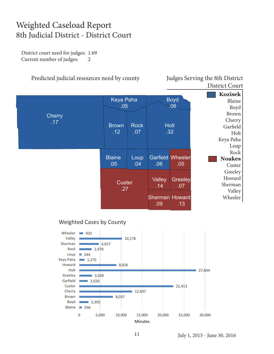#### Weighted Caseload Report 8th Judicial District - District Court

District court need for judges: 1.69 Current number of judges: 2

#### Predicted judicial resources need by county Judges Serving the 8th District

# District Court



#### Weighted Cases by County

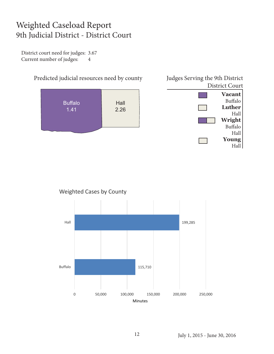## Weighted Caseload Report 9th Judicial District - District Court

District court need for judges: 3.67 Current number of judges: 4





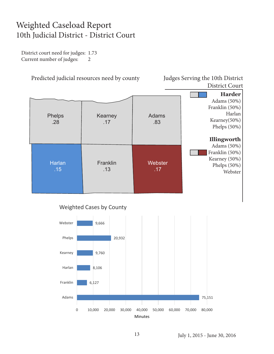## Weighted Caseload Report 10th Judicial District - District Court

District court need for judges: 1.73 Current number of judges: 2

Predicted judicial resources need by county Judges Serving the 10th District

## District Court

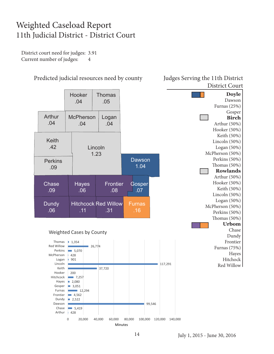## Weighted Caseload Report 11th Judicial District - District Court

District court need for judges: 3.91 Current number of judges: 4



Predicted judicial resources need by county Judges Serving the 11th District

## District Court

**Minutes**